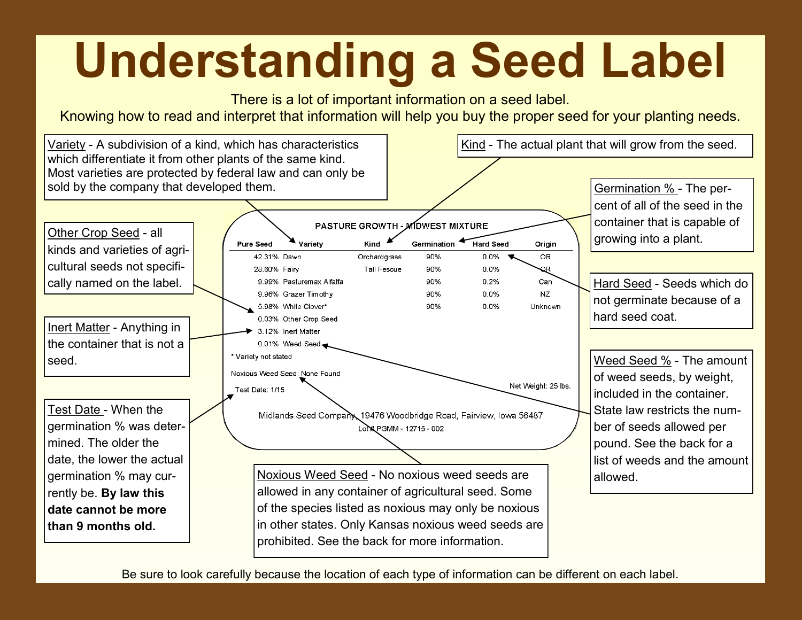## **Understanding a Seed Label**



Be sure to look carefully because the location of each type of information can be different on each label.